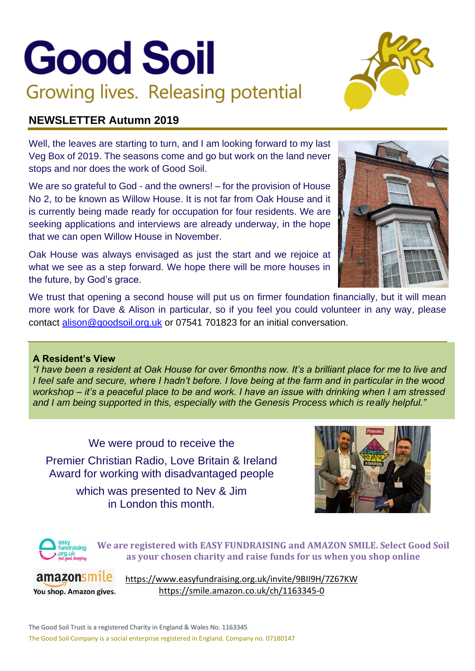# **Good Soil** Growing lives. Releasing potential



# **NEWSLETTER Autumn 2019**

Well, the leaves are starting to turn, and I am looking forward to my last Veg Box of 2019. The seasons come and go but work on the land never stops and nor does the work of Good Soil.

We are so grateful to God - and the owners! – for the provision of House No 2, to be known as Willow House. It is not far from Oak House and it is currently being made ready for occupation for four residents. We are seeking applications and interviews are already underway, in the hope that we can open Willow House in November.

Oak House was always envisaged as just the start and we rejoice at what we see as a step forward. We hope there will be more houses in the future, by God's grace.

We trust that opening a second house will put us on firmer foundation financially, but it will mean more work for Dave & Alison in particular, so if you feel you could volunteer in any way, please contact [alison@goodsoil.org.uk](mailto:alison@goodsoil.org.uk) or 07541 701823 for an initial conversation.

## **A Resident's View**

*"I have been a resident at Oak House for over 6months now. It's a brilliant place for me to live and I feel safe and secure, where I hadn't before. I love being at the farm and in particular in the wood workshop – it's a peaceful place to be and work. I have an issue with drinking when I am stressed and I am being supported in this, especially with the Genesis Process which is really helpful."*

# We were proud to receive the

Premier Christian Radio, Love Britain & Ireland Award for working with disadvantaged people

> which was presented to Nev & Jim in London this month.





**We are registered with EASY FUNDRAISING and AMAZON SMILE. Select Good Soil as your chosen charity and raise funds for us when you shop online**

amazonsmile You shop. Amazon gives.

[https://www.easyfundraising.org.uk/invite/9BII9H/7Z67KW](http://t.e.easyfundraising.org.uk/r/?id=h1e0cc8e9,6d006388,9000e2&utm_source=adobecampaign&utm_medium=email&utm_campaign=referral-2019&utm_content=referral_cause_newnur_20180324&origin=R1865&p1=9BII9H&p2=7Z67KW) <https://smile.amazon.co.uk/ch/1163345-0>